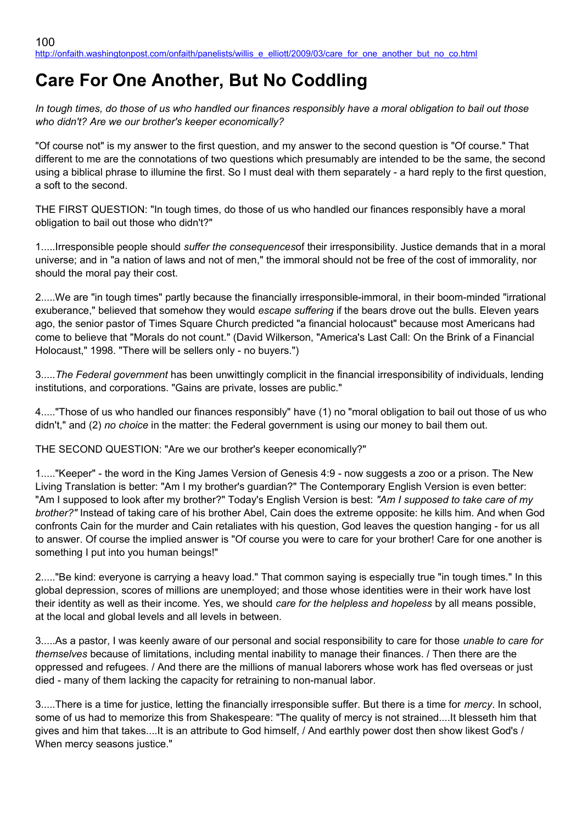## **Care For One Another, But No Coddling**

*In tough times, do those of us who handled our finances responsibly have a moral obligation to bail out those who didn't? Are we our brother's keeper economically?*

"Of course not" is my answer to the first question, and my answer to the second question is "Of course." That different to me are the connotations of two questions which presumably are intended to be the same, the second using a biblical phrase to illumine the first. So I must deal with them separately - a hard reply to the first question, a soft to the second.

THE FIRST QUESTION: "In tough times, do those of us who handled our finances responsibly have a moral obligation to bail out those who didn't?"

1.....Irresponsible people should *suffer the consequences*of their irresponsibility. Justice demands that in a moral universe; and in "a nation of laws and not of men," the immoral should not be free of the cost of immorality, nor should the moral pay their cost.

2.....We are "in tough times" partly because the financially irresponsible-immoral, in their boom-minded "irrational exuberance," believed that somehow they would *escape suffering* if the bears drove out the bulls. Eleven years ago, the senior pastor of Times Square Church predicted "a financial holocaust" because most Americans had come to believe that "Morals do not count." (David Wilkerson, "America's Last Call: On the Brink of a Financial Holocaust," 1998. "There will be sellers only - no buyers.")

3.....*The Federal government* has been unwittingly complicit in the financial irresponsibility of individuals, lending institutions, and corporations. "Gains are private, losses are public."

4....."Those of us who handled our finances responsibly" have (1) no "moral obligation to bail out those of us who didn't," and (2) *no choice* in the matter: the Federal government is using our money to bail them out.

THE SECOND QUESTION: "Are we our brother's keeper economically?"

1....."Keeper" - the word in the King James Version of Genesis 4:9 - now suggests a zoo or a prison. The New Living Translation is better: "Am I my brother's guardian?" The Contemporary English Version is even better: "Am I supposed to look after my brother?" Today's English Version is best: *"Am I supposed to take care of my brother?"* Instead of taking care of his brother Abel, Cain does the extreme opposite: he kills him. And when God confronts Cain for the murder and Cain retaliates with his question, God leaves the question hanging - for us all to answer. Of course the implied answer is "Of course you were to care for your brother! Care for one another is something I put into you human beings!"

2....."Be kind: everyone is carrying a heavy load." That common saying is especially true "in tough times." In this global depression, scores of millions are unemployed; and those whose identities were in their work have lost their identity as well as their income. Yes, we should *care for the helpless and hopeless* by all means possible, at the local and global levels and all levels in between.

3.....As a pastor, I was keenly aware of our personal and social responsibility to care for those *unable to care for themselves* because of limitations, including mental inability to manage their finances. / Then there are the oppressed and refugees. / And there are the millions of manual laborers whose work has fled overseas or just died - many of them lacking the capacity for retraining to non-manual labor.

3.....There is a time for justice, letting the financially irresponsible suffer. But there is a time for *mercy*. In school, some of us had to memorize this from Shakespeare: "The quality of mercy is not strained....It blesseth him that gives and him that takes....It is an attribute to God himself, / And earthly power dost then show likest God's / When mercy seasons justice."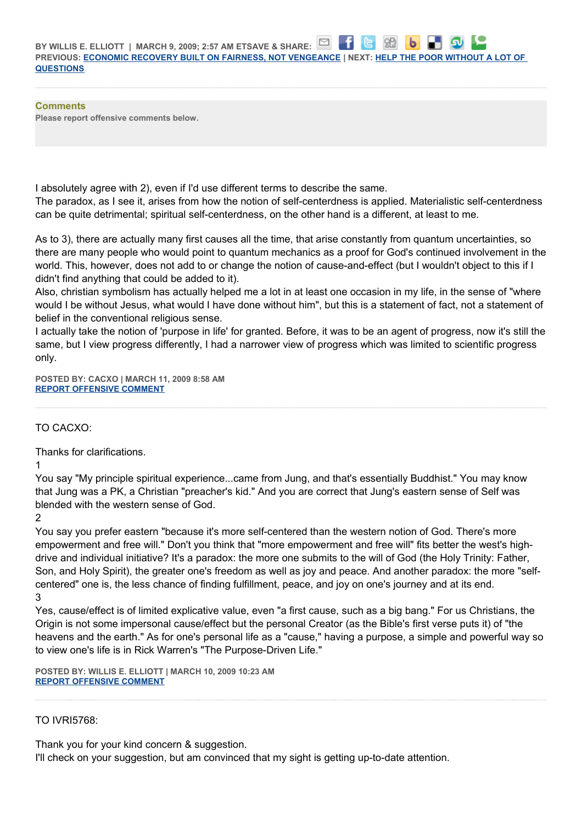| PREVIOUS: ECONOMIC RECOVERY BUILT ON FAIRNESS, NOT VENGEANCE   NEXT: HELP THE POOR WITHOUT A LOT OF |  |
|-----------------------------------------------------------------------------------------------------|--|
| <b>QUESTIONS</b>                                                                                    |  |

**CONTRACTOR CONTRACTOR** 

**Comments Please report offensive comments below.**

I absolutely agree with 2), even if I'd use different terms to describe the same.

The paradox, as I see it, arises from how the notion of self-centerdness is applied. Materialistic self-centerdness can be quite detrimental; spiritual self-centerdness, on the other hand is a different, at least to me.

As to 3), there are actually many first causes all the time, that arise constantly from quantum uncertainties, so there are many people who would point to quantum mechanics as a proof for God's continued involvement in the world. This, however, does not add to or change the notion of cause-and-effect (but I wouldn't object to this if I didn't find anything that could be added to it).

Also, christian symbolism has actually helped me a lot in at least one occasion in my life, in the sense of "where would I be without Jesus, what would I have done without him", but this is a statement of fact, not a statement of belief in the conventional religious sense.

I actually take the notion of 'purpose in life' for granted. Before, it was to be an agent of progress, now it's still the same, but I view progress differently, I had a narrower view of progress which was limited to scientific progress only.

**POSTED BY: CACXO | MARCH 11, 2009 8:58 AM [REPORT OFFENSIVE COMMENT](mailto:blogs@washingtonpost.com?subject=On%20Faith%20Panelists%20Blog%20%20%7C%20%20cacxo%20%20%7C%20%20Care%20For%20One%20Another,%20But%20No%20Coddling%20%20%7C%20%204612396&body=%0D%0D%0D%0D%0D================%0D?__mode=view%26_type=comment%26id=4612396%26blog_id=618)**

## TO CACXO:

Thanks for clarifications.

1

You say "My principle spiritual experience...came from Jung, and that's essentially Buddhist." You may know that Jung was a PK, a Christian "preacher's kid." And you are correct that Jung's eastern sense of Self was blended with the western sense of God.

2

You say you prefer eastern "because it's more self-centered than the western notion of God. There's more empowerment and free will." Don't you think that "more empowerment and free will" fits better the west's highdrive and individual initiative? It's a paradox: the more one submits to the will of God (the Holy Trinity: Father, Son, and Holy Spirit), the greater one's freedom as well as joy and peace. And another paradox: the more "selfcentered" one is, the less chance of finding fulfillment, peace, and joy on one's journey and at its end. 3

Yes, cause/effect is of limited explicative value, even "a first cause, such as a big bang." For us Christians, the Origin is not some impersonal cause/effect but the personal Creator (as the Bible's first verse puts it) of "the heavens and the earth." As for one's personal life as a "cause," having a purpose, a simple and powerful way so to view one's life is in Rick Warren's "The Purpose-Driven Life."

**POSTED BY: WILLIS E. ELLIOTT | MARCH 10, 2009 10:23 AM [REPORT OFFENSIVE COMMENT](mailto:blogs@washingtonpost.com?subject=On%20Faith%20Panelists%20Blog%20%20%7C%20%20Willis%20E.%20Elliott%20%20%7C%20%20Care%20For%20One%20Another,%20But%20No%20Coddling%20%20%7C%20%204607315&body=%0D%0D%0D%0D%0D================%0D?__mode=view%26_type=comment%26id=4607315%26blog_id=618)**

## TO IVRI5768:

Thank you for your kind concern & suggestion.

I'll check on your suggestion, but am convinced that my sight is getting up-to-date attention.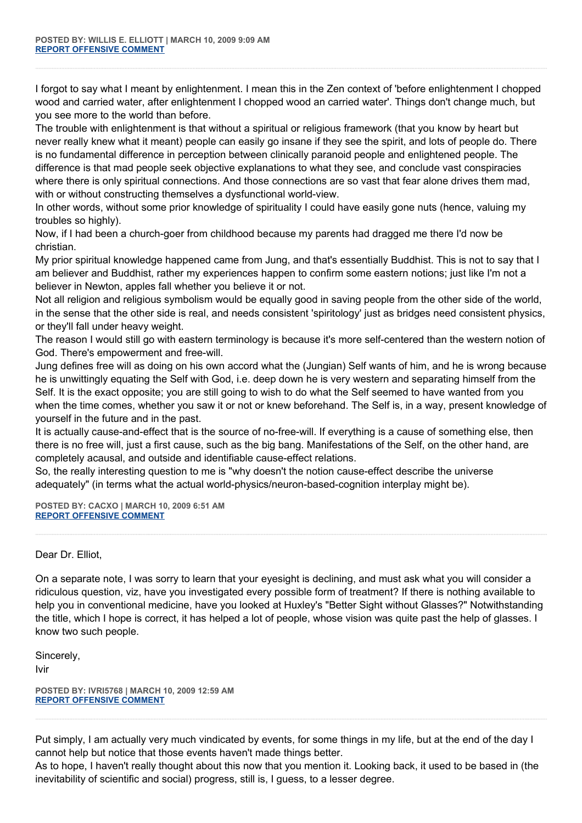I forgot to say what I meant by enlightenment. I mean this in the Zen context of 'before enlightenment I chopped wood and carried water, after enlightenment I chopped wood an carried water'. Things don't change much, but you see more to the world than before.

The trouble with enlightenment is that without a spiritual or religious framework (that you know by heart but never really knew what it meant) people can easily go insane if they see the spirit, and lots of people do. There is no fundamental difference in perception between clinically paranoid people and enlightened people. The difference is that mad people seek objective explanations to what they see, and conclude vast conspiracies where there is only spiritual connections. And those connections are so vast that fear alone drives them mad, with or without constructing themselves a dysfunctional world-view.

In other words, without some prior knowledge of spirituality I could have easily gone nuts (hence, valuing my troubles so highly).

Now, if I had been a church-goer from childhood because my parents had dragged me there I'd now be christian.

My prior spiritual knowledge happened came from Jung, and that's essentially Buddhist. This is not to say that I am believer and Buddhist, rather my experiences happen to confirm some eastern notions; just like I'm not a believer in Newton, apples fall whether you believe it or not.

Not all religion and religious symbolism would be equally good in saving people from the other side of the world, in the sense that the other side is real, and needs consistent 'spiritology' just as bridges need consistent physics, or they'll fall under heavy weight.

The reason I would still go with eastern terminology is because it's more self-centered than the western notion of God. There's empowerment and free-will.

Jung defines free will as doing on his own accord what the (Jungian) Self wants of him, and he is wrong because he is unwittingly equating the Self with God, i.e. deep down he is very western and separating himself from the Self. It is the exact opposite; you are still going to wish to do what the Self seemed to have wanted from you when the time comes, whether you saw it or not or knew beforehand. The Self is, in a way, present knowledge of yourself in the future and in the past.

It is actually cause-and-effect that is the source of no-free-will. If everything is a cause of something else, then there is no free will, just a first cause, such as the big bang. Manifestations of the Self, on the other hand, are completely acausal, and outside and identifiable cause-effect relations.

So, the really interesting question to me is "why doesn't the notion cause-effect describe the universe adequately" (in terms what the actual world-physics/neuron-based-cognition interplay might be).

**POSTED BY: CACXO | MARCH 10, 2009 6:51 AM [REPORT OFFENSIVE COMMENT](mailto:blogs@washingtonpost.com?subject=On%20Faith%20Panelists%20Blog%20%20%7C%20%20cacxo%20%20%7C%20%20Care%20For%20One%20Another,%20But%20No%20Coddling%20%20%7C%20%204607289&body=%0D%0D%0D%0D%0D================%0D?__mode=view%26_type=comment%26id=4607289%26blog_id=618)**

Dear Dr. Elliot,

On a separate note, I was sorry to learn that your eyesight is declining, and must ask what you will consider a ridiculous question, viz, have you investigated every possible form of treatment? If there is nothing available to help you in conventional medicine, have you looked at Huxley's "Better Sight without Glasses?" Notwithstanding the title, which I hope is correct, it has helped a lot of people, whose vision was quite past the help of glasses. I know two such people.

Sincerely, Ivir

**POSTED BY: IVRI5768 | MARCH 10, 2009 12:59 AM [REPORT OFFENSIVE COMMENT](mailto:blogs@washingtonpost.com?subject=On%20Faith%20Panelists%20Blog%20%20%7C%20%20ivri5768%20%20%7C%20%20Care%20For%20One%20Another,%20But%20No%20Coddling%20%20%7C%20%204607268&body=%0D%0D%0D%0D%0D================%0D?__mode=view%26_type=comment%26id=4607268%26blog_id=618)**

Put simply, I am actually very much vindicated by events, for some things in my life, but at the end of the day I cannot help but notice that those events haven't made things better.

As to hope, I haven't really thought about this now that you mention it. Looking back, it used to be based in (the inevitability of scientific and social) progress, still is, I guess, to a lesser degree.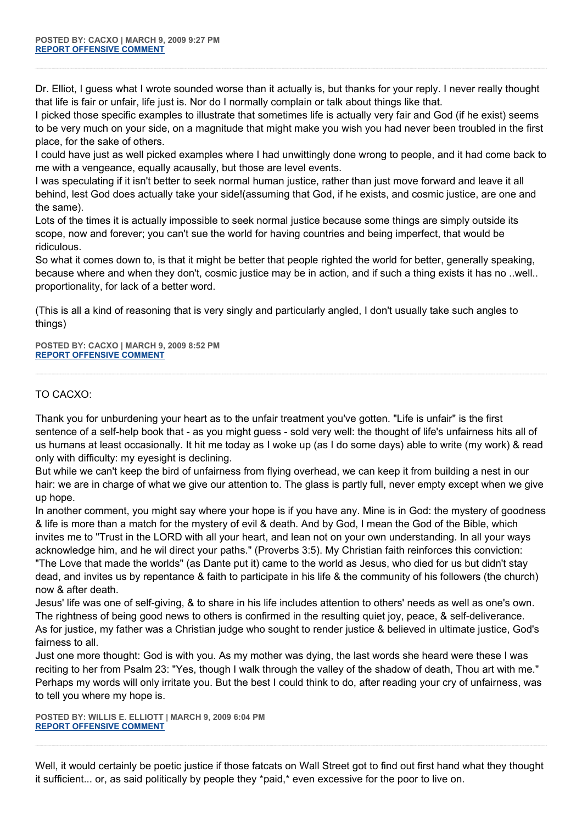Dr. Elliot, I guess what I wrote sounded worse than it actually is, but thanks for your reply. I never really thought that life is fair or unfair, life just is. Nor do I normally complain or talk about things like that.

I picked those specific examples to illustrate that sometimes life is actually very fair and God (if he exist) seems to be very much on your side, on a magnitude that might make you wish you had never been troubled in the first place, for the sake of others.

I could have just as well picked examples where I had unwittingly done wrong to people, and it had come back to me with a vengeance, equally acausally, but those are level events.

I was speculating if it isn't better to seek normal human justice, rather than just move forward and leave it all behind, lest God does actually take your side!(assuming that God, if he exists, and cosmic justice, are one and the same).

Lots of the times it is actually impossible to seek normal justice because some things are simply outside its scope, now and forever; you can't sue the world for having countries and being imperfect, that would be ridiculous.

So what it comes down to, is that it might be better that people righted the world for better, generally speaking, because where and when they don't, cosmic justice may be in action, and if such a thing exists it has no ..well.. proportionality, for lack of a better word.

(This is all a kind of reasoning that is very singly and particularly angled, I don't usually take such angles to things)

**POSTED BY: CACXO | MARCH 9, 2009 8:52 PM [REPORT OFFENSIVE COMMENT](mailto:blogs@washingtonpost.com?subject=On%20Faith%20Panelists%20Blog%20%20%7C%20%20cacxo%20%20%7C%20%20Care%20For%20One%20Another,%20But%20No%20Coddling%20%20%7C%20%204607224&body=%0D%0D%0D%0D%0D================%0D?__mode=view%26_type=comment%26id=4607224%26blog_id=618)**

## TO CACXO:

Thank you for unburdening your heart as to the unfair treatment you've gotten. "Life is unfair" is the first sentence of a self-help book that - as you might guess - sold very well: the thought of life's unfairness hits all of us humans at least occasionally. It hit me today as I woke up (as I do some days) able to write (my work) & read only with difficulty: my eyesight is declining.

But while we can't keep the bird of unfairness from flying overhead, we can keep it from building a nest in our hair: we are in charge of what we give our attention to. The glass is partly full, never empty except when we give up hope.

In another comment, you might say where your hope is if you have any. Mine is in God: the mystery of goodness & life is more than a match for the mystery of evil & death. And by God, I mean the God of the Bible, which invites me to "Trust in the LORD with all your heart, and lean not on your own understanding. In all your ways acknowledge him, and he wil direct your paths." (Proverbs 3:5). My Christian faith reinforces this conviction: "The Love that made the worlds" (as Dante put it) came to the world as Jesus, who died for us but didn't stay dead, and invites us by repentance & faith to participate in his life & the community of his followers (the church) now & after death.

Jesus' life was one of self-giving, & to share in his life includes attention to others' needs as well as one's own. The rightness of being good news to others is confirmed in the resulting quiet joy, peace, & self-deliverance. As for justice, my father was a Christian judge who sought to render justice & believed in ultimate justice, God's fairness to all.

Just one more thought: God is with you. As my mother was dying, the last words she heard were these I was reciting to her from Psalm 23: "Yes, though I walk through the valley of the shadow of death, Thou art with me." Perhaps my words will only irritate you. But the best I could think to do, after reading your cry of unfairness, was to tell you where my hope is.

**POSTED BY: WILLIS E. ELLIOTT | MARCH 9, 2009 6:04 PM [REPORT OFFENSIVE COMMENT](mailto:blogs@washingtonpost.com?subject=On%20Faith%20Panelists%20Blog%20%20%7C%20%20Willis%20E.%20Elliott%20%20%7C%20%20Care%20For%20One%20Another,%20But%20No%20Coddling%20%20%7C%20%204607185&body=%0D%0D%0D%0D%0D================%0D?__mode=view%26_type=comment%26id=4607185%26blog_id=618)**

Well, it would certainly be poetic justice if those fatcats on Wall Street got to find out first hand what they thought it sufficient... or, as said politically by people they \*paid,\* even excessive for the poor to live on.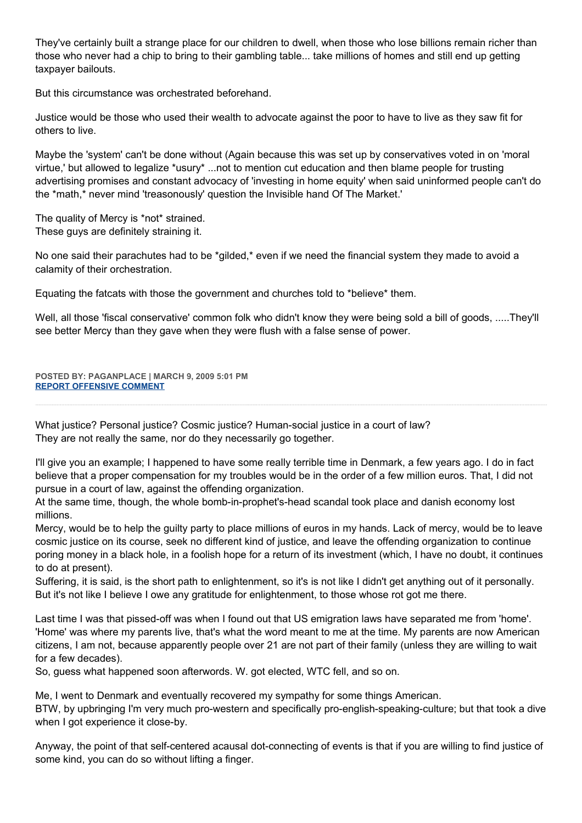They've certainly built a strange place for our children to dwell, when those who lose billions remain richer than those who never had a chip to bring to their gambling table... take millions of homes and still end up getting taxpayer bailouts.

But this circumstance was orchestrated beforehand.

Justice would be those who used their wealth to advocate against the poor to have to live as they saw fit for others to live.

Maybe the 'system' can't be done without (Again because this was set up by conservatives voted in on 'moral virtue,' but allowed to legalize \*usury\* ...not to mention cut education and then blame people for trusting advertising promises and constant advocacy of 'investing in home equity' when said uninformed people can't do the \*math,\* never mind 'treasonously' question the Invisible hand Of The Market.'

The quality of Mercy is \*not\* strained. These guys are definitely straining it.

No one said their parachutes had to be \*gilded,\* even if we need the financial system they made to avoid a calamity of their orchestration.

Equating the fatcats with those the government and churches told to \*believe\* them.

Well, all those 'fiscal conservative' common folk who didn't know they were being sold a bill of goods, .....They'll see better Mercy than they gave when they were flush with a false sense of power.

**POSTED BY: PAGANPLACE | MARCH 9, 2009 5:01 PM [REPORT OFFENSIVE COMMENT](mailto:blogs@washingtonpost.com?subject=On%20Faith%20Panelists%20Blog%20%20%7C%20%20Paganplace%20%20%7C%20%20Care%20For%20One%20Another,%20But%20No%20Coddling%20%20%7C%20%204607164&body=%0D%0D%0D%0D%0D================%0D?__mode=view%26_type=comment%26id=4607164%26blog_id=618)**

What justice? Personal justice? Cosmic justice? Human-social justice in a court of law? They are not really the same, nor do they necessarily go together.

I'll give you an example; I happened to have some really terrible time in Denmark, a few years ago. I do in fact believe that a proper compensation for my troubles would be in the order of a few million euros. That, I did not pursue in a court of law, against the offending organization.

At the same time, though, the whole bomb-in-prophet's-head scandal took place and danish economy lost millions.

Mercy, would be to help the guilty party to place millions of euros in my hands. Lack of mercy, would be to leave cosmic justice on its course, seek no different kind of justice, and leave the offending organization to continue poring money in a black hole, in a foolish hope for a return of its investment (which, I have no doubt, it continues to do at present).

Suffering, it is said, is the short path to enlightenment, so it's is not like I didn't get anything out of it personally. But it's not like I believe I owe any gratitude for enlightenment, to those whose rot got me there.

Last time I was that pissed-off was when I found out that US emigration laws have separated me from 'home'. 'Home' was where my parents live, that's what the word meant to me at the time. My parents are now American citizens, I am not, because apparently people over 21 are not part of their family (unless they are willing to wait for a few decades).

So, guess what happened soon afterwords. W. got elected, WTC fell, and so on.

Me, I went to Denmark and eventually recovered my sympathy for some things American.

BTW, by upbringing I'm very much pro-western and specifically pro-english-speaking-culture; but that took a dive when I got experience it close-by.

Anyway, the point of that self-centered acausal dot-connecting of events is that if you are willing to find justice of some kind, you can do so without lifting a finger.